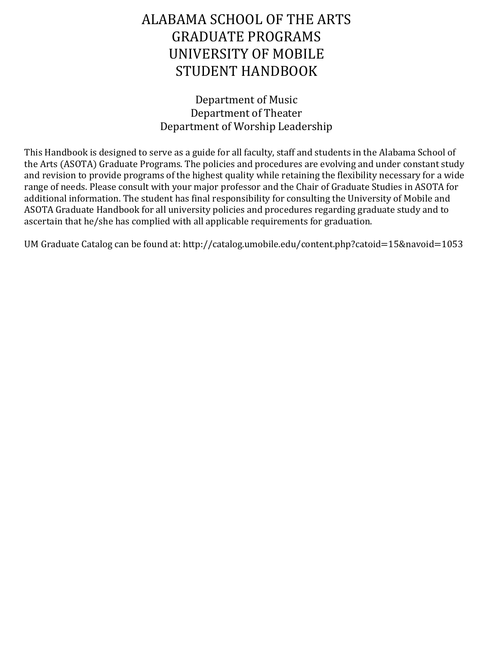# ALABAMA SCHOOL OF THE ARTS GRADUATE PROGRAMS UNIVERSITY OF MOBILE STUDENT HANDBOOK

### Department of Music Department of Theater Department of Worship Leadership

This Handbook is designed to serve as a guide for all faculty, staff and students in the Alabama School of the Arts (ASOTA) Graduate Programs. The policies and procedures are evolving and under constant study and revision to provide programs of the highest quality while retaining the flexibility necessary for a wide range of needs. Please consult with your major professor and the Chair of Graduate Studies in ASOTA for additional information. The student has final responsibility for consulting the University of Mobile and ASOTA Graduate Handbook for all university policies and procedures regarding graduate study and to ascertain that he/she has complied with all applicable requirements for graduation.

UM Graduate Catalog can be found at:<http://catalog.umobile.edu/content.php?catoid=15&navoid=1053>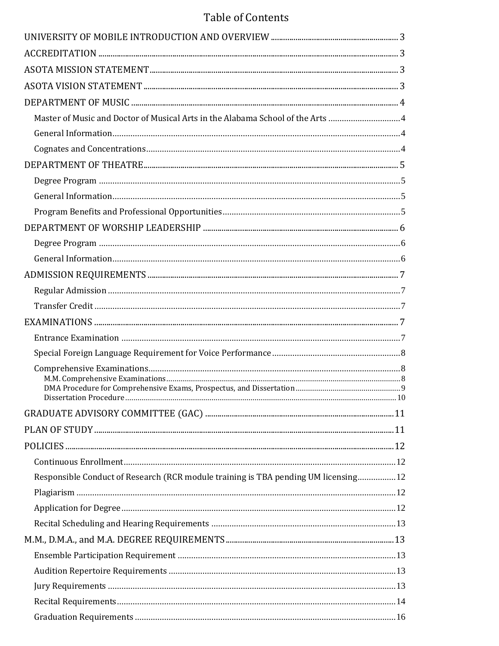## **Table of Contents**

| Master of Music and Doctor of Musical Arts in the Alabama School of the Arts 4      |  |
|-------------------------------------------------------------------------------------|--|
|                                                                                     |  |
|                                                                                     |  |
|                                                                                     |  |
|                                                                                     |  |
|                                                                                     |  |
|                                                                                     |  |
|                                                                                     |  |
|                                                                                     |  |
|                                                                                     |  |
|                                                                                     |  |
|                                                                                     |  |
|                                                                                     |  |
|                                                                                     |  |
|                                                                                     |  |
|                                                                                     |  |
|                                                                                     |  |
|                                                                                     |  |
|                                                                                     |  |
|                                                                                     |  |
|                                                                                     |  |
|                                                                                     |  |
|                                                                                     |  |
| Responsible Conduct of Research (RCR module training is TBA pending UM licensing 12 |  |
|                                                                                     |  |
|                                                                                     |  |
|                                                                                     |  |
|                                                                                     |  |
|                                                                                     |  |
|                                                                                     |  |
|                                                                                     |  |
|                                                                                     |  |
|                                                                                     |  |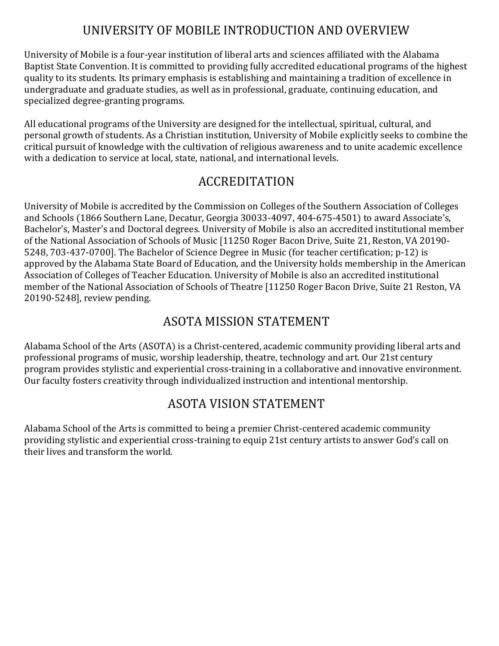## UNIVERSITY OF MOBILE INTRODUCTION AND OVERVIEW

<span id="page-2-0"></span>University of Mobile is a four-year institution of liberal arts and sciences affiliated with the Alabama Baptist State Convention. It is committed to providing fully accredited educational programs of the highest quality to its students. Its primary emphasis is establishing and maintaining a tradition of excellence in undergraduate and graduate studies, as well as in professional, graduate, continuing education, and specialized degree-granting programs.

All educational programs of the University are designed for the intellectual, spiritual, cultural, and personal growth of students. As a Christian institution, University of Mobile explicitly seeks to combine the critical pursuit of knowledge with the cultivation of religious awareness and to unite academic excellence with a dedication to service at local, state, national, and international levels.

## ACCREDITATION

<span id="page-2-1"></span>University of Mobile is accredited by the Commission on Colleges of the Southern Association of Colleges and Schools (1866 Southern Lane, Decatur, Georgia 30033-4097, 404-675-4501) to award Associate's, Bachelor's, Master's and Doctoral degrees. University of Mobile is also an accredited institutional member of the National Association of Schools of Music [11250 Roger Bacon Drive, Suite 21, Reston, VA 20190- 5248, 703-437-0700]. The Bachelor of Science Degree in Music (for teacher certification; p-12) is approved by the Alabama State Board of Education, and the University holds membership in the American Association of Colleges of Teacher Education. University of Mobile is also an accredited institutional member of the National Association of Schools of Theatre [11250 Roger Bacon Drive, Suite 21 Reston, VA 20190-5248], review pending.

## ASOTA MISSION STATEMENT

<span id="page-2-2"></span>Alabama School of the Arts (ASOTA) is a Christ-centered, academic community providing liberal arts and professional programs of music, worship leadership, theatre, technology and art. Our 21st century program provides stylistic and experiential cross-training in a collaborative and innovative environment. Our faculty fosters creativity through individualized instruction and intentional mentorship.

## ASOTA VISION STATEMENT

<span id="page-2-3"></span>Alabama School of the Arts is committed to being a premier Christ-centered academic community providing stylistic and experiential cross-training to equip 21st century artists to answer God's call on their lives and transform the world.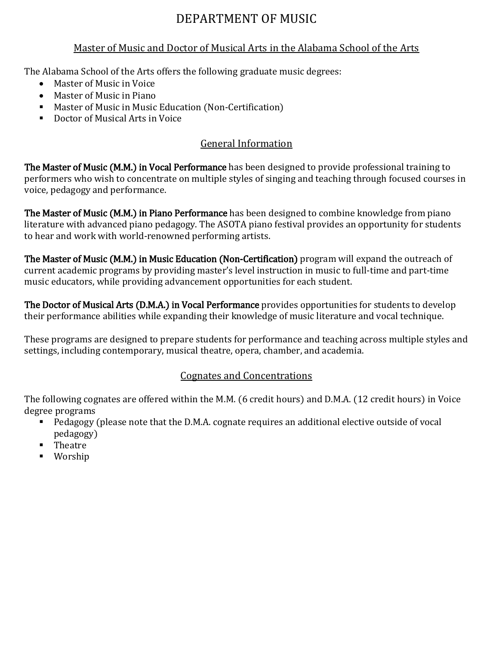## DEPARTMENT OF MUSIC

### Master of Music and Doctor of Musical Arts in the Alabama School of the Arts

<span id="page-3-1"></span><span id="page-3-0"></span>The Alabama School of the Arts offers the following graduate music degrees:

- Master of Music in Voice
- Master of Music in Piano
- Master of Music in Music Education (Non-Certification)
- Doctor of Musical Arts in Voice

### General Information

<span id="page-3-2"></span>The Master of Music (M.M.) in Vocal Performance has been designed to provide professional training to performers who wish to concentrate on multiple styles of singing and teaching through focused courses in voice, pedagogy and performance.

The Master of Music (M.M.) in Piano Performance has been designed to combine knowledge from piano literature with advanced piano pedagogy. The ASOTA piano festival provides an opportunity for students to hear and work with world-renowned performing artists.

The Master of Music (M.M.) in Music Education (Non-Certification) program will expand the outreach of current academic programs by providing master's level instruction in music to full-time and part-time music educators, while providing advancement opportunities for each student.

The Doctor of Musical Arts (D.M.A.) in Vocal Performance provides opportunities for students to develop their performance abilities while expanding their knowledge of music literature and vocal technique.

These programs are designed to prepare students for performance and teaching across multiple styles and settings, including contemporary, musical theatre, opera, chamber, and academia.

## Cognates and Concentrations

<span id="page-3-3"></span>The following cognates are offered within the M.M. (6 credit hours) and D.M.A. (12 credit hours) in Voice degree programs

- Pedagogy (please note that the D.M.A. cognate requires an additional elective outside of vocal pedagogy)
- **Theatre**
- Worship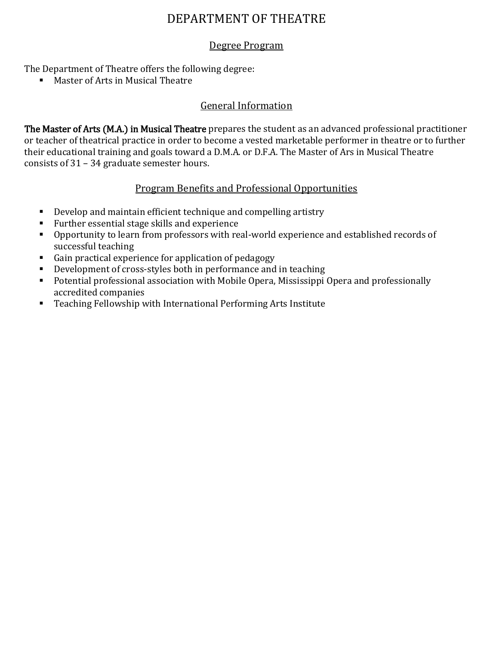## DEPARTMENT OF THEATRE

#### Degree Program

<span id="page-4-1"></span><span id="page-4-0"></span>The Department of Theatre offers the following degree:

Master of Arts in Musical Theatre

### General Information

<span id="page-4-2"></span>The Master of Arts (M.A.) in Musical Theatre prepares the student as an advanced professional practitioner or teacher of theatrical practice in order to become a vested marketable performer in theatre or to further their educational training and goals toward a D.M.A. or D.F.A. The Master of Ars in Musical Theatre consists of 31 – 34 graduate semester hours.

#### Program Benefits and Professional Opportunities

- <span id="page-4-3"></span>Develop and maintain efficient technique and compelling artistry
- Further essential stage skills and experience
- Opportunity to learn from professors with real-world experience and established records of successful teaching
- Gain practical experience for application of pedagogy
- Development of cross-styles both in performance and in teaching
- Potential professional association with Mobile Opera, Mississippi Opera and professionally accredited companies
- Teaching Fellowship with International Performing Arts Institute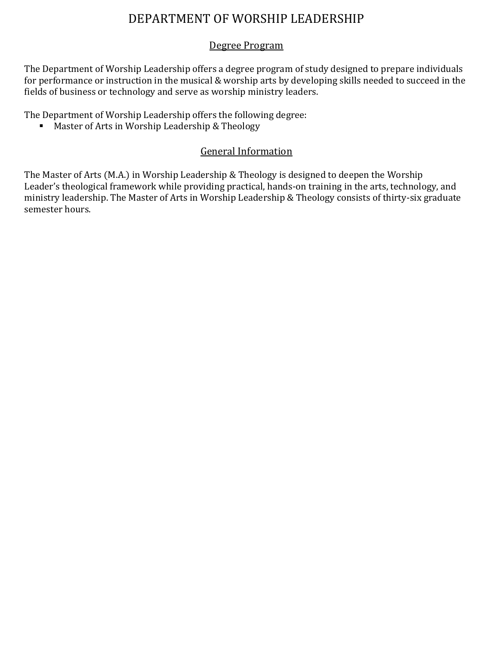# DEPARTMENT OF WORSHIP LEADERSHIP

#### Degree Program

<span id="page-5-1"></span><span id="page-5-0"></span>The Department of Worship Leadership offers a degree program of study designed to prepare individuals for performance or instruction in the musical & worship arts by developing skills needed to succeed in the fields of business or technology and serve as worship ministry leaders.

The Department of Worship Leadership offers the following degree:

**Master of Arts in Worship Leadership & Theology** 

#### General Information

<span id="page-5-2"></span>The Master of Arts (M.A.) in Worship Leadership & Theology is designed to deepen the Worship Leader's theological framework while providing practical, hands-on training in the arts, technology, and ministry leadership. The Master of Arts in Worship Leadership & Theology consists of thirty-six graduate semester hours.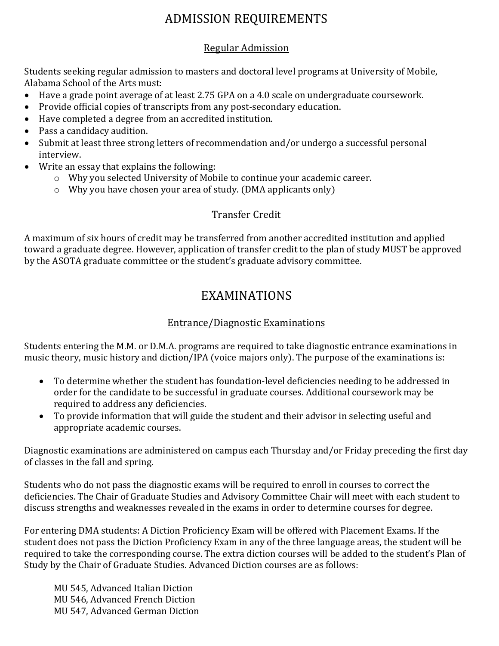# ADMISSION REQUIREMENTS

### Regular Admission

<span id="page-6-1"></span><span id="page-6-0"></span>Students seeking regular admission to masters and doctoral level programs at University of Mobile, Alabama School of the Arts must:

- Have a grade point average of at least 2.75 GPA on a 4.0 scale on undergraduate coursework.
- Provide official copies of transcripts from any post-secondary education.
- Have completed a degree from an accredited institution.
- Pass a candidacy audition.
- Submit at least three strong letters of recommendation and/or undergo a successful personal interview.
- Write an essay that explains the following:
	- o Why you selected University of Mobile to continue your academic career.
	- o Why you have chosen your area of study. (DMA applicants only)

## Transfer Credit

<span id="page-6-3"></span><span id="page-6-2"></span>A maximum of six hours of credit may be transferred from another accredited institution and applied toward a graduate degree. However, application of transfer credit to the plan of study MUST be approved by the ASOTA graduate committee or the student's graduate advisory committee.

# EXAMINATIONS

## Entrance/Diagnostic Examinations

<span id="page-6-4"></span>Students entering the M.M. or D.M.A. programs are required to take diagnostic entrance examinations in music theory, music history and diction/IPA (voice majors only). The purpose of the examinations is:

- To determine whether the student has foundation-level deficiencies needing to be addressed in order for the candidate to be successful in graduate courses. Additional coursework may be required to address any deficiencies.
- To provide information that will guide the student and their advisor in selecting useful and appropriate academic courses.

Diagnostic examinations are administered on campus each Thursday and/or Friday preceding the first day of classes in the fall and spring.

Students who do not pass the diagnostic exams will be required to enroll in courses to correct the deficiencies. The Chair of Graduate Studies and Advisory Committee Chair will meet with each student to discuss strengths and weaknesses revealed in the exams in order to determine courses for degree.

For entering DMA students: A Diction Proficiency Exam will be offered with Placement Exams. If the student does not pass the Diction Proficiency Exam in any of the three language areas, the student will be required to take the corresponding course. The extra diction courses will be added to the student's Plan of Study by the Chair of Graduate Studies. Advanced Diction courses are as follows:

MU 545, Advanced Italian Diction MU 546, Advanced French Diction MU 547, Advanced German Diction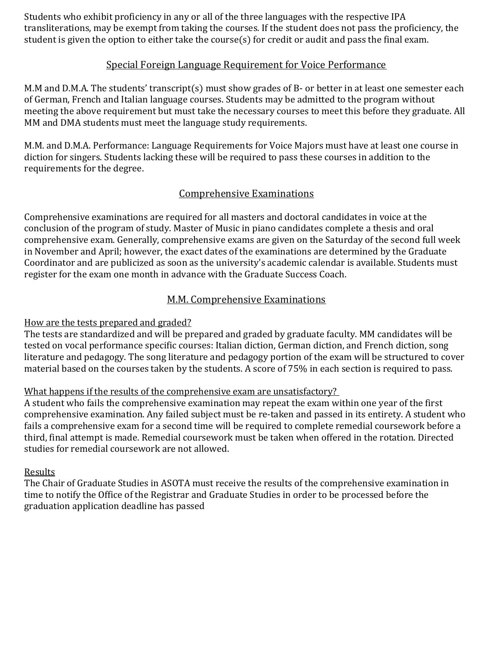Students who exhibit proficiency in any or all of the three languages with the respective IPA transliterations, may be exempt from taking the courses. If the student does not pass the proficiency, the student is given the option to either take the course(s) for credit or audit and pass the final exam.

#### Special Foreign Language Requirement for Voice Performance

<span id="page-7-0"></span>M.M and D.M.A. The students' transcript(s) must show grades of B- or better in at least one semester each of German, French and Italian language courses. Students may be admitted to the program without meeting the above requirement but must take the necessary courses to meet this before they graduate. All MM and DMA students must meet the language study requirements.

M.M. and D.M.A. Performance: Language Requirements for Voice Majors must have at least one course in diction for singers. Students lacking these will be required to pass these courses in addition to the requirements for the degree.

### Comprehensive Examinations

<span id="page-7-1"></span>Comprehensive examinations are required for all masters and doctoral candidates in voice at the conclusion of the program of study. Master of Music in piano candidates complete a thesis and oral comprehensive exam. Generally, comprehensive exams are given on the Saturday of the second full week in November and April; however, the exact dates of the examinations are determined by the Graduate Coordinator and are publicized as soon as the university's academic calendar is available. Students must register for the exam one month in advance with the Graduate Success Coach.

### M.M. Comprehensive Examinations

#### <span id="page-7-2"></span>How are the tests prepared and graded?

The tests are standardized and will be prepared and graded by graduate faculty. MM candidates will be tested on vocal performance specific courses: Italian diction, German diction, and French diction, song literature and pedagogy. The song literature and pedagogy portion of the exam will be structured to cover material based on the courses taken by the students. A score of 75% in each section is required to pass.

#### What happens if the results of the comprehensive exam are unsatisfactory?

A student who fails the comprehensive examination may repeat the exam within one year of the first comprehensive examination. Any failed subject must be re-taken and passed in its entirety. A student who fails a comprehensive exam for a second time will be required to complete remedial coursework before a third, final attempt is made. Remedial coursework must be taken when offered in the rotation. Directed studies for remedial coursework are not allowed.

#### Results

The Chair of Graduate Studies in ASOTA must receive the results of the comprehensive examination in time to notify the Office of the Registrar and Graduate Studies in order to be processed before the graduation application deadline has passed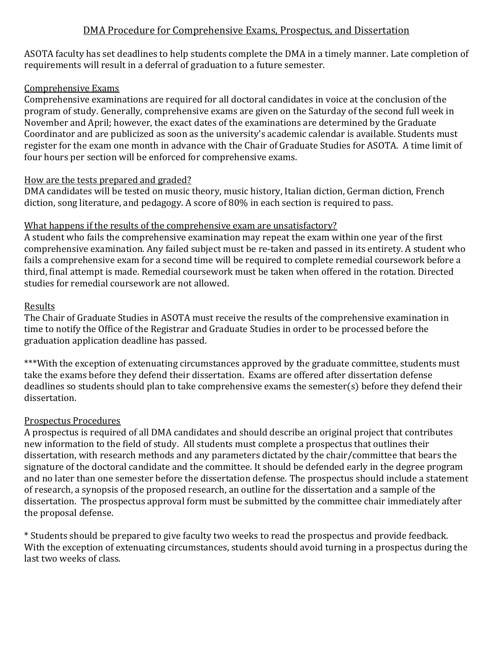#### DMA Procedure for Comprehensive Exams, Prospectus, and Dissertation

<span id="page-8-0"></span>ASOTA faculty has set deadlines to help students complete the DMA in a timely manner. Late completion of requirements will result in a deferral of graduation to a future semester.

#### Comprehensive Exams

Comprehensive examinations are required for all doctoral candidates in voice at the conclusion of the program of study. Generally, comprehensive exams are given on the Saturday of the second full week in November and April; however, the exact dates of the examinations are determined by the Graduate Coordinator and are publicized as soon as the university's academic calendar is available. Students must register for the exam one month in advance with the Chair of Graduate Studies for ASOTA. A time limit of four hours per section will be enforced for comprehensive exams.

#### How are the tests prepared and graded?

DMA candidates will be tested on music theory, music history, Italian diction, German diction, French diction, song literature, and pedagogy. A score of 80% in each section is required to pass.

#### What happens if the results of the comprehensive exam are unsatisfactory?

A student who fails the comprehensive examination may repeat the exam within one year of the first comprehensive examination. Any failed subject must be re-taken and passed in its entirety. A student who fails a comprehensive exam for a second time will be required to complete remedial coursework before a third, final attempt is made. Remedial coursework must be taken when offered in the rotation. Directed studies for remedial coursework are not allowed.

#### Results

The Chair of Graduate Studies in ASOTA must receive the results of the comprehensive examination in time to notify the Office of the Registrar and Graduate Studies in order to be processed before the graduation application deadline has passed.

\*\*\*With the exception of extenuating circumstances approved by the graduate committee, students must take the exams before they defend their dissertation. Exams are offered after dissertation defense deadlines so students should plan to take comprehensive exams the semester(s) before they defend their dissertation.

#### Prospectus Procedures

A prospectus is required of all DMA candidates and should describe an original project that contributes new information to the field of study. All students must complete a prospectus that outlines their dissertation, with research methods and any parameters dictated by the chair/committee that bears the signature of the doctoral candidate and the committee. It should be defended early in the degree program and no later than one semester before the dissertation defense. The prospectus should include a statement of research, a synopsis of the proposed research, an outline for the dissertation and a sample of the dissertation. The prospectus approval form must be submitted by the committee chair immediately after the proposal defense.

<span id="page-8-1"></span>\* Students should be prepared to give faculty two weeks to read the prospectus and provide feedback. With the exception of extenuating circumstances, students should avoid turning in a prospectus during the last two weeks of class.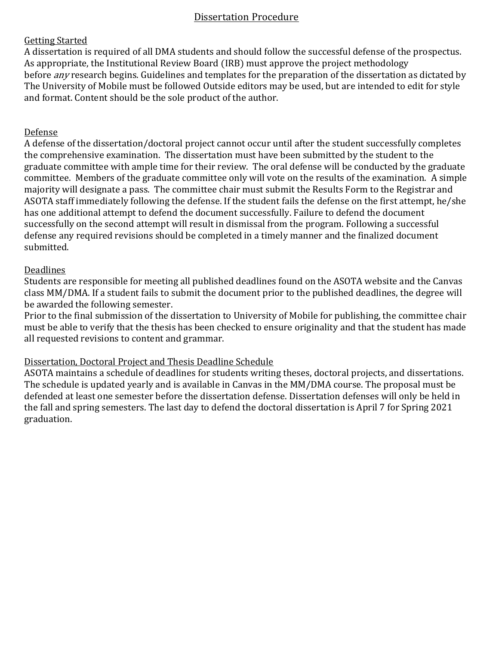#### Dissertation Procedure

#### Getting Started

A dissertation is required of all DMA students and should follow the successful defense of the prospectus. As appropriate, the Institutional Review Board (IRB) must approve the project methodology before *any* research begins. Guidelines and templates for the preparation of the dissertation as dictated by The University of Mobile must be followed Outside editors may be used, but are intended to edit for style and format. Content should be the sole product of the author.

#### Defense

A defense of the dissertation/doctoral project cannot occur until after the student successfully completes the comprehensive examination. The dissertation must have been submitted by the student to the graduate committee with ample time for their review. The oral defense will be conducted by the graduate committee. Members of the graduate committee only will vote on the results of the examination. A simple majority will designate a pass. The committee chair must submit the Results Form to the Registrar and ASOTA staff immediately following the defense. If the student fails the defense on the first attempt, he/she has one additional attempt to defend the document successfully. Failure to defend the document successfully on the second attempt will result in dismissal from the program. Following a successful defense any required revisions should be completed in a timely manner and the finalized document submitted.

#### Deadlines

Students are responsible for meeting all published deadlines found on the ASOTA website and the Canvas class MM/DMA. If a student fails to submit the document prior to the published deadlines, the degree will be awarded the following semester.

Prior to the final submission of the dissertation to University of Mobile for publishing, the committee chair must be able to verify that the thesis has been checked to ensure originality and that the student has made all requested revisions to content and grammar.

#### Dissertation, Doctoral Project and Thesis Deadline Schedule

ASOTA maintains a schedule of deadlines for students writing theses, doctoral projects, and dissertations. The schedule is updated yearly and is available in Canvas in the MM/DMA course. The proposal must be defended at least one semester before the dissertation defense. Dissertation defenses will only be held in the fall and spring semesters. The last day to defend the doctoral dissertation is April 7 for Spring 2021 graduation.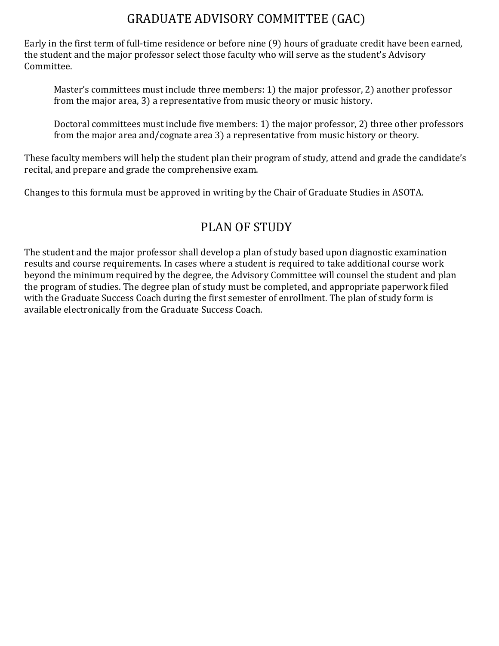# GRADUATE ADVISORY COMMITTEE (GAC)

<span id="page-10-0"></span>Early in the first term of full-time residence or before nine (9) hours of graduate credit have been earned, the student and the major professor select those faculty who will serve as the student's Advisory Committee.

Master's committees must include three members: 1) the major professor, 2) another professor from the major area, 3) a representative from music theory or music history.

Doctoral committees must include five members: 1) the major professor, 2) three other professors from the major area and/cognate area 3) a representative from music history or theory.

These faculty members will help the student plan their program of study, attend and grade the candidate's recital, and prepare and grade the comprehensive exam.

<span id="page-10-1"></span>Changes to this formula must be approved in writing by the Chair of Graduate Studies in ASOTA.

# PLAN OF STUDY

The student and the major professor shall develop a plan of study based upon diagnostic examination results and course requirements. In cases where a student is required to take additional course work beyond the minimum required by the degree, the Advisory Committee will counsel the student and plan the program of studies. The degree plan of study must be completed, and appropriate paperwork filed with the Graduate Success Coach during the first semester of enrollment. The plan of study form is available electronically from the Graduate Success Coach.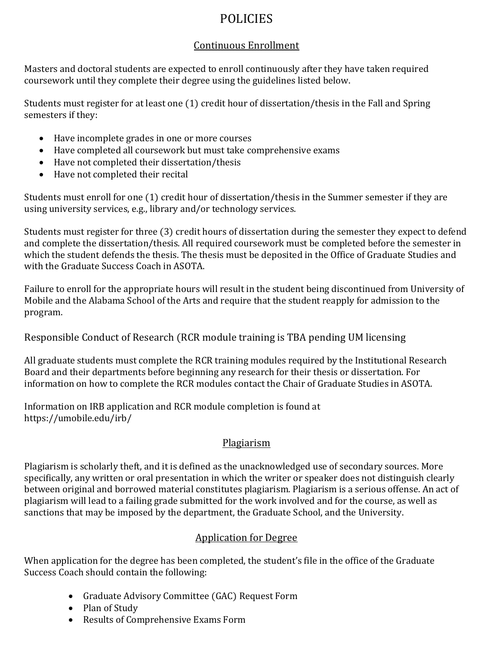# POLICIES

### Continuous Enrollment

<span id="page-11-1"></span><span id="page-11-0"></span>Masters and doctoral students are expected to enroll continuously after they have taken required coursework until they complete their degree using the guidelines listed below.

Students must register for at least one (1) credit hour of dissertation/thesis in the Fall and Spring semesters if they:

- Have incomplete grades in one or more courses
- Have completed all coursework but must take comprehensive exams
- Have not completed their dissertation/thesis
- Have not completed their recital

Students must enroll for one (1) credit hour of dissertation/thesis in the Summer semester if they are using university services, e.g., library and/or technology services.

Students must register for three (3) credit hours of dissertation during the semester they expect to defend and complete the dissertation/thesis. All required coursework must be completed before the semester in which the student defends the thesis. The thesis must be deposited in the Office of Graduate Studies and with the Graduate Success Coach in ASOTA.

Failure to enroll for the appropriate hours will result in the student being discontinued from University of Mobile and the Alabama School of the Arts and require that the student reapply for admission to the program.

<span id="page-11-2"></span>Responsible Conduct of Research (RCR module training is TBA pending UM licensing

All graduate students must complete the RCR training modules required by the Institutional Research Board and their departments before beginning any research for their thesis or dissertation. For information on how to complete the RCR modules contact the Chair of Graduate Studies in ASOTA.

Information on IRB application and RCR module completion is found at <https://umobile.edu/irb/>

## Plagiarism

<span id="page-11-3"></span>Plagiarism is scholarly theft, and it is defined as the unacknowledged use of secondary sources. More specifically, any written or oral presentation in which the writer or speaker does not distinguish clearly between original and borrowed material constitutes plagiarism. Plagiarism is a serious offense. An act of plagiarism will lead to a failing grade submitted for the work involved and for the course, as well as sanctions that may be imposed by the department, the Graduate School, and the University.

## Application for Degree

<span id="page-11-4"></span>When application for the degree has been completed, the student's file in the office of the Graduate Success Coach should contain the following:

- Graduate Advisory Committee (GAC) Request Form
- Plan of Study
- Results of Comprehensive Exams Form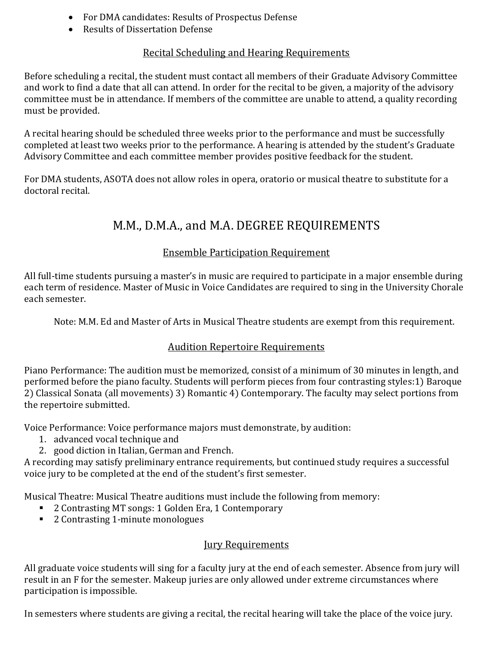- For DMA candidates: Results of Prospectus Defense
- Results of Dissertation Defense

### Recital Scheduling and Hearing Requirements

<span id="page-12-0"></span>Before scheduling a recital, the student must contact all members of their Graduate Advisory Committee and work to find a date that all can attend. In order for the recital to be given, a majority of the advisory committee must be in attendance. If members of the committee are unable to attend, a quality recording must be provided.

A recital hearing should be scheduled three weeks prior to the performance and must be successfully completed at least two weeks prior to the performance. A hearing is attended by the student's Graduate Advisory Committee and each committee member provides positive feedback for the student.

<span id="page-12-1"></span>For DMA students, ASOTA does not allow roles in opera, oratorio or musical theatre to substitute for a doctoral recital.

# M.M., D.M.A., and M.A. DEGREE REQUIREMENTS

### Ensemble Participation Requirement

<span id="page-12-2"></span>All full-time students pursuing a master's in music are required to participate in a major ensemble during each term of residence. Master of Music in Voice Candidates are required to sing in the University Chorale each semester.

Note: M.M. Ed and Master of Arts in Musical Theatre students are exempt from this requirement.

### Audition Repertoire Requirements

<span id="page-12-3"></span>Piano Performance: The audition must be memorized, consist of a minimum of 30 minutes in length, and performed before the piano faculty. Students will perform pieces from four contrasting styles:1) Baroque 2) Classical Sonata (all movements) 3) Romantic 4) Contemporary. The faculty may select portions from the repertoire submitted.

Voice Performance: Voice performance majors must demonstrate, by audition:

- 1. advanced vocal technique and
- 2. good diction in Italian, German and French.

A recording may satisfy preliminary entrance requirements, but continued study requires a successful voice jury to be completed at the end of the student's first semester.

Musical Theatre: Musical Theatre auditions must include the following from memory:

- 2 Contrasting MT songs: 1 Golden Era, 1 Contemporary
- 2 Contrasting 1-minute monologues

## **Jury Requirements**

<span id="page-12-4"></span>All graduate voice students will sing for a faculty jury at the end of each semester. Absence from jury will result in an F for the semester. Makeup juries are only allowed under extreme circumstances where participation is impossible.

In semesters where students are giving a recital, the recital hearing will take the place of the voice jury.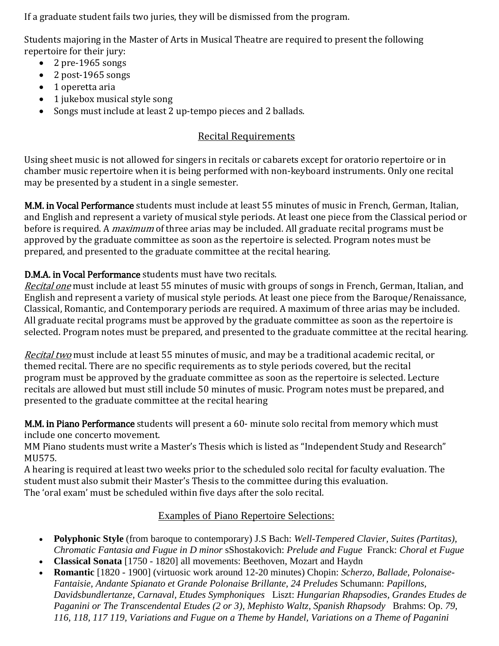If a graduate student fails two juries, they will be dismissed from the program.

Students majoring in the Master of Arts in Musical Theatre are required to present the following repertoire for their jury:

- $\bullet$  2 pre-1965 songs
- $\bullet$  2 post-1965 songs
- 1 operetta aria
- 1 jukebox musical style song
- Songs must include at least 2 up-tempo pieces and 2 ballads.

## Recital Requirements

<span id="page-13-0"></span>Using sheet music is not allowed for singers in recitals or cabarets except for oratorio repertoire or in chamber music repertoire when it is being performed with non-keyboard instruments. Only one recital may be presented by a student in a single semester.

M.M. in Vocal Performance students must include at least 55 minutes of music in French, German, Italian, and English and represent a variety of musical style periods. At least one piece from the Classical period or before is required. A *maximum* of three arias may be included. All graduate recital programs must be approved by the graduate committee as soon as the repertoire is selected. Program notes must be prepared, and presented to the graduate committee at the recital hearing.

### D.M.A. in Vocal Performance students must have two recitals.

Recital one must include at least 55 minutes of music with groups of songs in French, German, Italian, and English and represent a variety of musical style periods. At least one piece from the Baroque/Renaissance, Classical, Romantic, and Contemporary periods are required. A maximum of three arias may be included. All graduate recital programs must be approved by the graduate committee as soon as the repertoire is selected. Program notes must be prepared, and presented to the graduate committee at the recital hearing.

Recital two must include at least 55 minutes of music, and may be a traditional academic recital, or themed recital. There are no specific requirements as to style periods covered, but the recital program must be approved by the graduate committee as soon as the repertoire is selected. Lecture recitals are allowed but must still include 50 minutes of music. Program notes must be prepared, and presented to the graduate committee at the recital hearing

M.M. in Piano Performance students will present a 60- minute solo recital from memory which must include one concerto movement.

MM Piano students must write a Master's Thesis which is listed as "Independent Study and Research" MU575.

A hearing is required at least two weeks prior to the scheduled solo recital for faculty evaluation. The student must also submit their Master's Thesis to the committee during this evaluation. The 'oral exam' must be scheduled within five days after the solo recital.

### Examples of Piano Repertoire Selections:

- **Polyphonic Style** (from baroque to contemporary) J.S Bach: *Well-Tempered Clavier, Suites (Partitas), Chromatic Fantasia and Fugue in D minor* sShostakovich: *Prelude and Fugue* Franck: *Choral et Fugue*
- **Classical Sonata** [1750 1820] all movements: Beethoven, Mozart and Haydn
- **Romantic** [1820 1900] (virtuosic work around 12-20 minutes) Chopin: *Scherzo, Ballade, Polonaise-Fantaisie, Andante Spianato et Grande Polonaise Brillante, 24 Preludes* Schumann: *Papillons, Davidsbundlertanze, Carnaval, Etudes Symphoniques* Liszt: *Hungarian Rhapsodies, Grandes Etudes de Paganini or The Transcendental Etudes (2 or 3), Mephisto Waltz, Spanish Rhapsody Brahms: Op. 79, 116, 118, 117 119, Variations and Fugue on a Theme by Handel, Variations on a Theme of Paganini*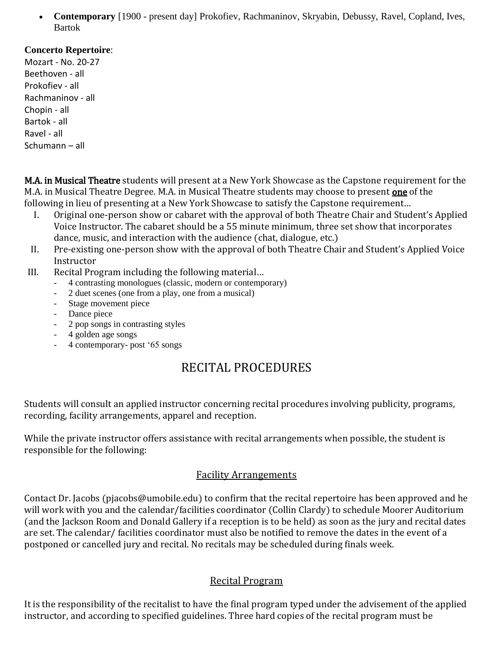**Contemporary** [1900 - present day] Prokofiev, Rachmaninov, Skryabin, Debussy, Ravel, Copland, Ives, Bartok

#### **Concerto Repertoire**:

Mozart - No. 20-27 Beethoven - all Prokofiev - all Rachmaninov - all Chopin - all Bartok - all Ravel - all Schumann – all

M.A. in Musical Theatre students will present at a New York Showcase as the Capstone requirement for the M.A. in Musical Theatre Degree. M.A. in Musical Theatre students may choose to present **one** of the following in lieu of presenting at a New York Showcase to satisfy the Capstone requirement…

- I. Original one-person show or cabaret with the approval of both Theatre Chair and Student's Applied Voice Instructor. The cabaret should be a 55 minute minimum, three set show that incorporates dance, music, and interaction with the audience (chat, dialogue, etc.)
- II. Pre-existing one-person show with the approval of both Theatre Chair and Student's Applied Voice **Instructor**
- III. Recital Program including the following material…
	- 4 contrasting monologues (classic, modern or contemporary)
	- 2 duet scenes (one from a play, one from a musical)
	- Stage movement piece
	- Dance piece
	- 2 pop songs in contrasting styles
	- 4 golden age songs
	- 4 contemporary- post '65 songs

# RECITAL PROCEDURES

Students will consult an applied instructor concerning recital procedures involving publicity, programs, recording, facility arrangements, apparel and reception.

While the private instructor offers assistance with recital arrangements when possible, the student is responsible for the following:

### Facility Arrangements

Contact Dr. Jacobs (pjacobs@umobile.edu) to confirm that the recital repertoire has been approved and he will work with you and the calendar/facilities coordinator (Collin Clardy) to schedule Moorer Auditorium (and the Jackson Room and Donald Gallery if a reception is to be held) as soon as the jury and recital dates are set. The calendar/ facilities coordinator must also be notified to remove the dates in the event of a postponed or cancelled jury and recital. No recitals may be scheduled during finals week.

#### Recital Program

It is the responsibility of the recitalist to have the final program typed under the advisement of the applied instructor, and according to specified guidelines. Three hard copies of the recital program must be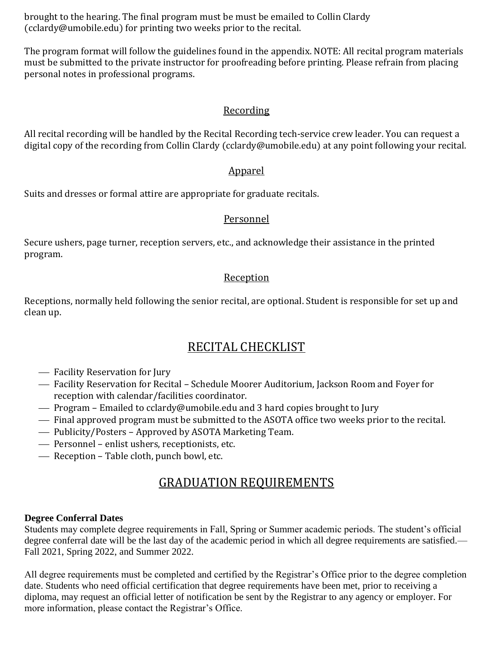brought to the hearing. The final program must be must be emailed to Collin Clardy (cclardy@umobile.edu) for printing two weeks prior to the recital.

The program format will follow the guidelines found in the appendix. NOTE: All recital program materials must be submitted to the private instructor for proofreading before printing. Please refrain from placing personal notes in professional programs.

#### Recording

All recital recording will be handled by the Recital Recording tech-service crew leader. You can request a digital copy of the recording from Collin Clardy (cclardy@umobile.edu) at any point following your recital.

#### Apparel

Suits and dresses or formal attire are appropriate for graduate recitals.

#### Personnel

Secure ushers, page turner, reception servers, etc., and acknowledge their assistance in the printed program.

#### **Reception**

Receptions, normally held following the senior recital, are optional. Student is responsible for set up and clean up.

## RECITAL CHECKLIST

- Facility Reservation for Jury
- Facility Reservation for Recital Schedule Moorer Auditorium, Jackson Room and Foyer for reception with calendar/facilities coordinator.
- Program Emailed to cclardy@umobile.edu and 3 hard copies brought to Jury
- Final approved program must be submitted to the ASOTA office two weeks prior to the recital.
- Publicity/Posters Approved by ASOTA Marketing Team.
- Personnel enlist ushers, receptionists, etc.
- Reception Table cloth, punch bowl, etc.

## GRADUATION REQUIREMENTS

#### **Degree Conferral Dates**

Students may complete degree requirements in Fall, Spring or Summer academic periods. The student's official degree conferral date will be the last day of the academic period in which all degree requirements are satisfied.— Fall 2021, Spring 2022, and Summer 2022.

All degree requirements must be completed and certified by the Registrar's Office prior to the degree completion date. Students who need official certification that degree requirements have been met, prior to receiving a diploma, may request an official letter of notification be sent by the Registrar to any agency or employer. For more information, please contact the Registrar's Office.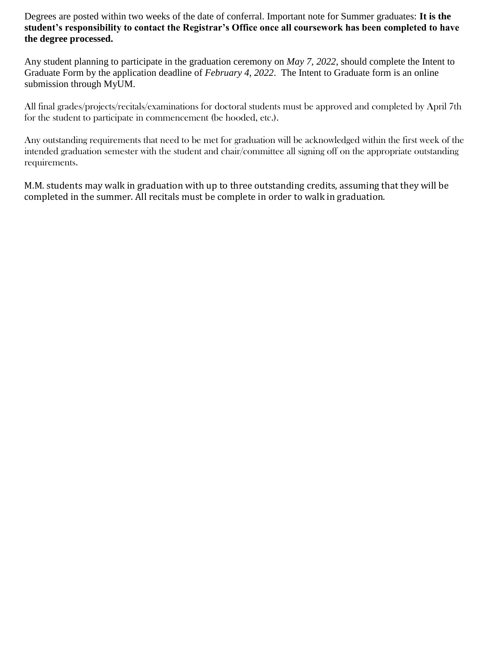Degrees are posted within two weeks of the date of conferral. Important note for Summer graduates: **It is the student's responsibility to contact the Registrar's Office once all coursework has been completed to have the degree processed.**

Any student planning to participate in the graduation ceremony on *May 7, 2022*, should complete the Intent to Graduate Form by the application deadline of *February 4, 2022*. The Intent to Graduate form is an online submission through MyUM.

All final grades/projects/recitals/examinations for doctoral students must be approved and completed by April 7th for the student to participate in commencement (be hooded, etc.).

Any outstanding requirements that need to be met for graduation will be acknowledged within the first week of the intended graduation semester with the student and chair/committee all signing off on the appropriate outstanding requirements.

M.M. students may walk in graduation with up to three outstanding credits, assuming that they will be completed in the summer. All recitals must be complete in order to walk in graduation.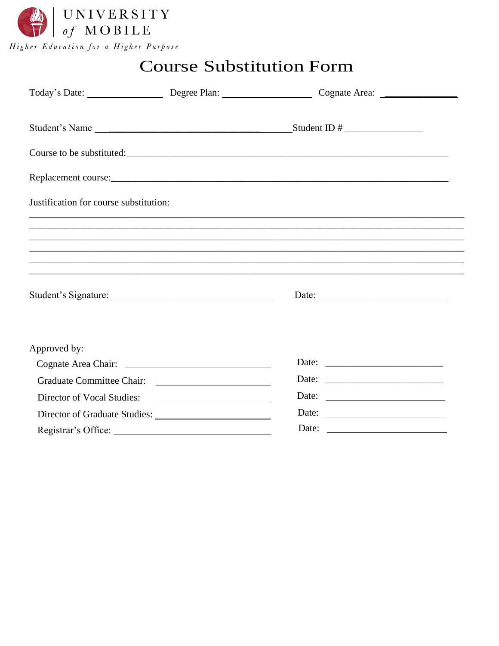

# **Course Substitution Form**

|                                        |                            | Course to be substituted:                                |  |
|----------------------------------------|----------------------------|----------------------------------------------------------|--|
|                                        |                            |                                                          |  |
| Justification for course substitution: |                            |                                                          |  |
|                                        |                            |                                                          |  |
|                                        |                            |                                                          |  |
|                                        |                            |                                                          |  |
|                                        |                            | Date:                                                    |  |
|                                        |                            |                                                          |  |
| Approved by:                           |                            |                                                          |  |
|                                        |                            |                                                          |  |
|                                        |                            | Date: $\frac{1}{\sqrt{1-\frac{1}{2}} \cdot \frac{1}{2}}$ |  |
|                                        | Director of Vocal Studies: |                                                          |  |
|                                        |                            | Date: $\frac{1}{\sqrt{1-\frac{1}{2}} \cdot \frac{1}{2}}$ |  |
|                                        | Registrar's Office:        |                                                          |  |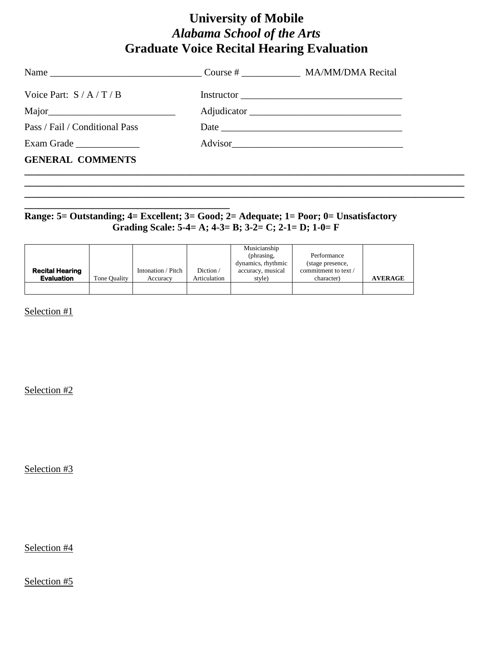## **University of Mobile** *Alabama School of the Arts* **Graduate Voice Recital Hearing Evaluation**

| Voice Part: $S / A / T / B$    | $Instructor \n$ |
|--------------------------------|-----------------|
| Major                          |                 |
| Pass / Fail / Conditional Pass |                 |
| Exam Grade                     | Advisor         |
| <b>GENERAL COMMENTS</b>        |                 |

**\_\_\_\_\_\_\_\_\_\_\_\_\_\_\_\_\_\_\_\_\_\_\_\_\_\_\_\_\_\_\_\_\_\_\_\_\_\_\_\_\_\_\_\_\_\_\_\_\_\_\_\_\_\_\_\_\_\_\_\_\_\_\_\_\_\_\_\_\_\_\_\_\_\_\_\_\_\_\_\_\_\_\_\_\_\_\_\_\_\_ \_\_\_\_\_\_\_\_\_\_\_\_\_\_\_\_\_\_\_\_\_\_\_\_\_\_\_\_\_\_\_\_\_\_\_\_\_\_\_\_\_\_\_\_\_\_\_\_\_\_\_\_\_\_\_\_\_\_\_\_\_\_\_\_\_\_\_\_\_\_\_\_\_\_\_\_\_\_\_\_\_\_\_\_\_\_\_\_\_\_**

#### **\_\_\_\_\_\_\_\_\_\_\_\_\_\_\_\_\_\_\_\_\_\_\_\_\_\_\_\_\_\_\_\_\_\_\_\_\_\_\_\_\_\_ Range: 5= Outstanding; 4= Excellent; 3= Good; 2= Adequate; 1= Poor; 0= Unsatisfactory Grading Scale: 5-4= A; 4-3= B; 3-2= C; 2-1= D; 1-0= F**

|                        |              |                    |              | Musicianship<br>(phrasing,<br>dynamics, rhythmic | Performance<br>(stage presence, |                |
|------------------------|--------------|--------------------|--------------|--------------------------------------------------|---------------------------------|----------------|
| <b>Recital Hearing</b> |              | Intonation / Pitch | Diction /    | accuracy, musical                                | commitment to text /            |                |
| <b>Evaluation</b>      | Tone Quality | Accuracv           | Articulation | style)                                           | character)                      | <b>AVERAGE</b> |
|                        |              |                    |              |                                                  |                                 |                |

Selection #1

Selection #2

Selection #3

Selection #4

Selection #5